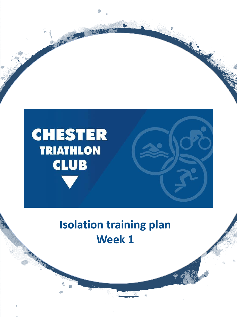

## **Isolation training plan Week 1**

ART AN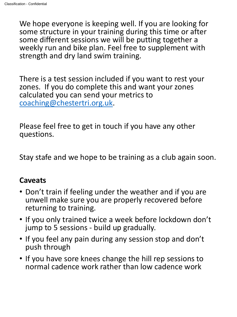We hope everyone is keeping well. If you are looking for some structure in your training during this time or after some different sessions we will be putting together a weekly run and bike plan. Feel free to supplement with strength and dry land swim training.

There is a test session included if you want to rest your zones. If you do complete this and want your zones calculated you can send your metrics to [coaching@chestertri.org.uk](mailto:coaching@chestertri.org.uk).

Please feel free to get in touch if you have any other questions.

Stay stafe and we hope to be training as a club again soon.

### **Caveats**

- Don't train if feeling under the weather and if you are unwell make sure you are properly recovered before returning to training.
- If you only trained twice a week before lockdown don't jump to 5 sessions - build up gradually.
- If you feel any pain during any session stop and don't push through
- If you have sore knees change the hill rep sessions to normal cadence work rather than low cadence work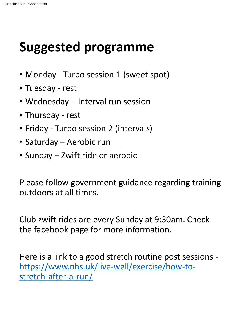# **Suggested programme**

- Monday Turbo session 1 (sweet spot)
- Tuesday rest
- Wednesday Interval run session
- Thursday rest
- Friday Turbo session 2 (intervals)
- Saturday Aerobic run
- Sunday Zwift ride or aerobic

Please follow government guidance regarding training outdoors at all times.

Club zwift rides are every Sunday at 9:30am. Check the facebook page for more information.

Here is a link to a good stretch routine post sessions [https://www.nhs.uk/live-well/exercise/how-to](https://www.nhs.uk/live-well/exercise/how-to-stretch-after-a-run/)stretch-after-a-run/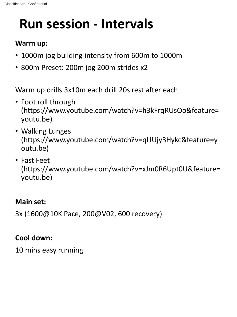# **Run session - Intervals**

### **Warm up:**

- 1000m jog building intensity from 600m to 1000m
- 800m Preset: 200m jog 200m strides x2

Warm up drills 3x10m each drill 20s rest after each

- Foot roll through (https://www.youtube.com/watch?v=h3kFrqRUsOo&feature= youtu.be)
- Walking Lunges (https://www.youtube.com/watch?v=qLlUjy3Hykc&feature=y outu.be)
- Fast Feet (https://www.youtube.com/watch?v=xJm0R6Upt0U&feature= youtu.be)

### **Main set:**

3x (1600@10K Pace, 200@V02, 600 recovery)

### **Cool down:**

10 mins easy running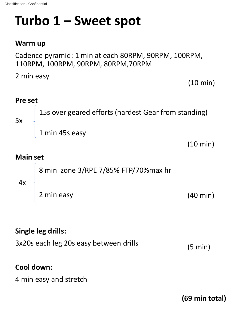# **Turbo 1 – Sweet spot**

#### **Warm up**

Cadence pyramid: 1 min at each 80RPM, 90RPM, 100RPM, 110RPM, 100RPM, 90RPM, 80RPM,70RPM

2 min easy **Pre set**  15s over geared efforts (hardest Gear from standing) 1 min 45s easy **Main set**  8 min zone 3/RPE 7/85% FTP/70%max hr 5x (10 min) (10 min)

# 4x

2 min easy

(40 min)

### **Single leg drills:**

| 3x20s each leg 20s easy between drills | $(5 \text{ min})$ |
|----------------------------------------|-------------------|
|----------------------------------------|-------------------|

#### **Cool down:**

4 min easy and stretch

**(69 min total)**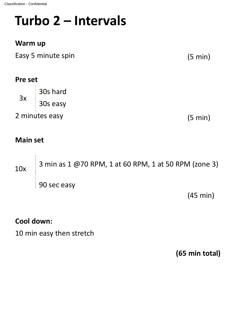# **Turbo 2 – Intervals**

### **Warm up**

Easy 5 minute spin

(5 min)

#### **Pre set**

30s hard 30s easy  $3x$ 

2 minutes easy

(5 min)

### **Main set**

3 min as 1 @70 RPM, 1 at 60 RPM, 1 at 50 RPM (zone 3) 90 sec easy 10x

(45 min)

### **Cool down:**

10 min easy then stretch

**(65 min total)**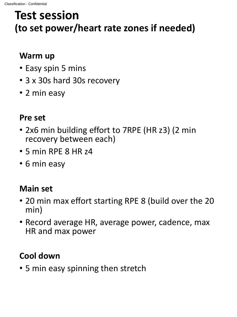## **Test session (to set power/heart rate zones if needed)**

### **Warm up**

- Easy spin 5 mins
- 3 x 30s hard 30s recovery
- 2 min easy

### **Pre set**

- 2x6 min building effort to 7RPE (HR z3) (2 min recovery between each)
- 5 min RPE 8 HR z4
- 6 min easy

## **Main set**

- 20 min max effort starting RPE 8 (build over the 20 min)
- Record average HR, average power, cadence, max HR and max power

## **Cool down**

• 5 min easy spinning then stretch